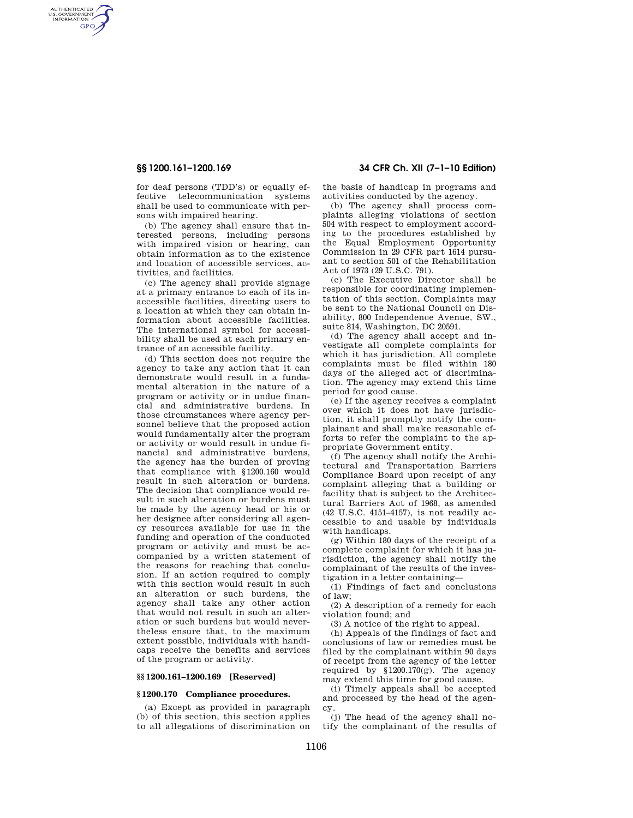AUTHENTICATED<br>U.S. GOVERNMENT<br>INFORMATION **GPO** 

> for deaf persons (TDD's) or equally effective telecommunication systems shall be used to communicate with persons with impaired hearing.

> (b) The agency shall ensure that interested persons, including persons with impaired vision or hearing, can obtain information as to the existence and location of accessible services, activities, and facilities.

> (c) The agency shall provide signage at a primary entrance to each of its inaccessible facilities, directing users to a location at which they can obtain information about accessible facilities. The international symbol for accessibility shall be used at each primary entrance of an accessible facility.

> (d) This section does not require the agency to take any action that it can demonstrate would result in a fundamental alteration in the nature of a program or activity or in undue financial and administrative burdens. In those circumstances where agency personnel believe that the proposed action would fundamentally alter the program or activity or would result in undue financial and administrative burdens, the agency has the burden of proving that compliance with §1200.160 would result in such alteration or burdens. The decision that compliance would result in such alteration or burdens must be made by the agency head or his or her designee after considering all agency resources available for use in the funding and operation of the conducted program or activity and must be accompanied by a written statement of the reasons for reaching that conclusion. If an action required to comply with this section would result in such an alteration or such burdens, the agency shall take any other action that would not result in such an alteration or such burdens but would nevertheless ensure that, to the maximum extent possible, individuals with handicaps receive the benefits and services of the program or activity.

## **§§ 1200.161–1200.169 [Reserved]**

## **§ 1200.170 Compliance procedures.**

(a) Except as provided in paragraph (b) of this section, this section applies to all allegations of discrimination on

**§§ 1200.161–1200.169 34 CFR Ch. XII (7–1–10 Edition)** 

the basis of handicap in programs and activities conducted by the agency.

(b) The agency shall process complaints alleging violations of section 504 with respect to employment according to the procedures established by the Equal Employment Opportunity Commission in 29 CFR part 1614 pursuant to section 501 of the Rehabilitation Act of 1973 (29 U.S.C. 791).

(c) The Executive Director shall be responsible for coordinating implementation of this section. Complaints may be sent to the National Council on Disability, 800 Independence Avenue, SW., suite 814, Washington, DC 20591.

(d) The agency shall accept and investigate all complete complaints for which it has jurisdiction. All complete complaints must be filed within 180 days of the alleged act of discrimination. The agency may extend this time period for good cause.

(e) If the agency receives a complaint over which it does not have jurisdiction, it shall promptly notify the complainant and shall make reasonable efforts to refer the complaint to the appropriate Government entity.

(f) The agency shall notify the Architectural and Transportation Barriers Compliance Board upon receipt of any complaint alleging that a building or facility that is subject to the Architectural Barriers Act of 1968, as amended (42 U.S.C. 4151–4157), is not readily accessible to and usable by individuals with handicaps.

(g) Within 180 days of the receipt of a complete complaint for which it has jurisdiction, the agency shall notify the complainant of the results of the investigation in a letter containing—

(1) Findings of fact and conclusions of law;

(2) A description of a remedy for each violation found; and

(3) A notice of the right to appeal.

(h) Appeals of the findings of fact and conclusions of law or remedies must be filed by the complainant within 90 days of receipt from the agency of the letter required by §1200.170(g). The agency may extend this time for good cause.

(i) Timely appeals shall be accepted and processed by the head of the agency.

(j) The head of the agency shall notify the complainant of the results of